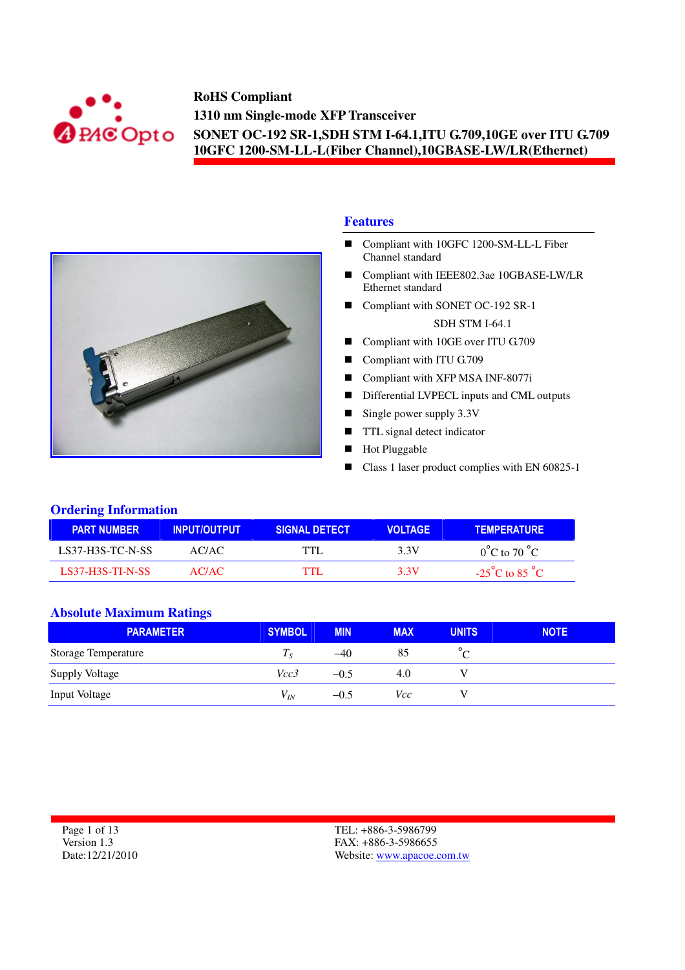



#### **Features**

- Compliant with 10GFC 1200-SM-LL-L Fiber Channel standard
- Compliant with IEEE802.3ae 10GBASE-LW/LR Ethernet standard
- Compliant with SONET OC-192 SR-1 SDH STM I-64.1
- Compliant with 10GE over ITU G.709
- Compliant with ITU G.709
- Compliant with XFP MSA INF-8077i
- Differential LVPECL inputs and CML outputs
- Single power supply  $3.3V$
- **TTL** signal detect indicator
- **Hot Pluggable**
- Class 1 laser product complies with EN 60825-1

#### **Ordering Information**

| <b>PART NUMBER</b>      | <b>INPUT/OUTPUT</b> | <b>SIGNAL DETECT</b> | <b>VOLTAGE</b> | <b>TEMPERATURE</b>                 |
|-------------------------|---------------------|----------------------|----------------|------------------------------------|
| <b>LS37-H3S-TC-N-SS</b> | AC/AC               | TTH                  | 3.3V           | $0^{\circ}$ C to 70 $^{\circ}$ C   |
| <b>LS37-H3S-TLN-SS</b>  | AC/AC               | гтт                  | 3.3V           | $-25^{\circ}$ C to 85 $^{\circ}$ C |

#### **Absolute Maximum Ratings**

| <b>PARAMETER</b>           | <b>SYMBOL</b> | <b>MIN</b> | <b>MAX</b> | <b>UNITS</b> | <b>NOTE</b> |
|----------------------------|---------------|------------|------------|--------------|-------------|
| <b>Storage Temperature</b> | Тe            | $-40$      | 85         |              |             |
| <b>Supply Voltage</b>      | Vcc3          | $-0.5$     | 4.0        |              |             |
| Input Voltage              | $V_{IN}$      | $-0.5$     | Vcc        |              |             |

| Page 1 of 13     |
|------------------|
| Version 1.3      |
| Date: 12/21/2010 |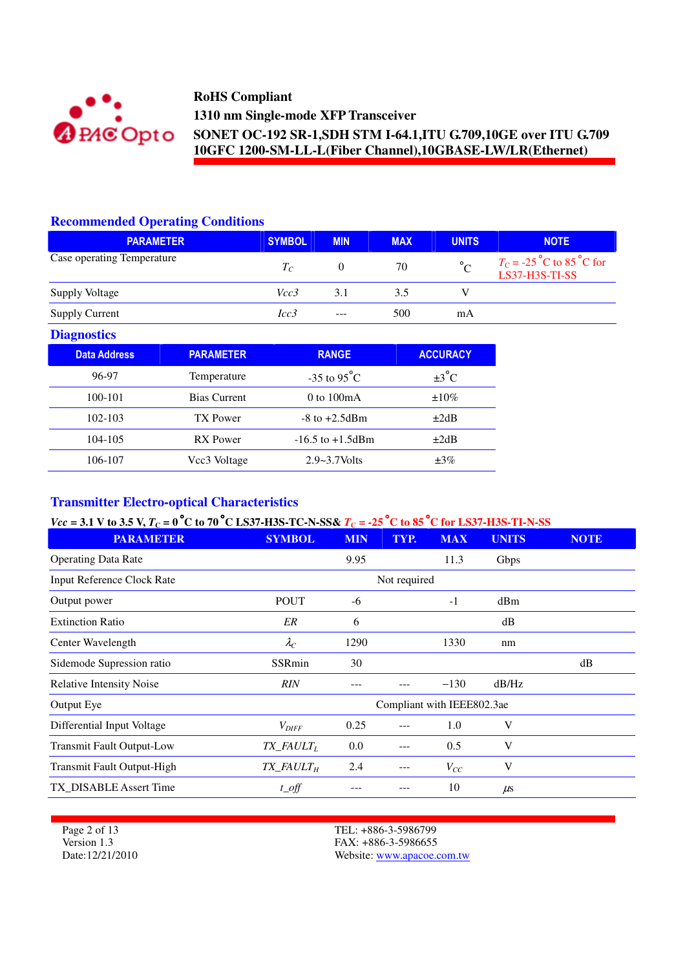

### **Recommended Operating Conditions**

| <b>PARAMETER</b>           | <b>SYMBOL</b> | <b>MIN</b> | <b>MAX</b> | <b>UNITS</b>          | <b>NOTE</b>                                                                        |
|----------------------------|---------------|------------|------------|-----------------------|------------------------------------------------------------------------------------|
| Case operating Temperature | $T_C$         |            | 70         | $\mathcal{L}^{\circ}$ | $T_{\rm C}$ = -25 <sup>°</sup> C to 85 <sup>°</sup> C for<br><b>LS37-H3S-TI-SS</b> |
| <b>Supply Voltage</b>      | Vcc3          | 3.1        | 3.5        |                       |                                                                                    |
| <b>Supply Current</b>      | Icc3          | $---$      | 500        | mA                    |                                                                                    |

### **Diagnostics**

| <b>Data Address</b> | <b>PARAMETER</b>    | <b>RANGE</b>            | <b>ACCURACY</b>   |
|---------------------|---------------------|-------------------------|-------------------|
| 96-97               | Temperature         | $-35$ to $95^{\circ}$ C | $\pm 3^{\circ}$ C |
| 100-101             | <b>Bias Current</b> | 0 to $100mA$            | $\pm 10\%$        |
| 102-103             | TX Power            | $-8$ to $+2.5$ dBm      | $\pm 2dB$         |
| 104-105             | RX Power            | $-16.5$ to $+1.5$ dBm   | $\pm 2dB$         |
| 106-107             | Vcc3 Voltage        | $2.9 - 3.7$ Volts       | $\pm 3\%$         |

## **Transmitter Electro-optical Characteristics**

## *Vcc* = 3.1 V to 3.5 V,  $T_c$  = 0 °C to 70 °C LS37-H3S-TC-N-SS&  $T_c$  = -25 °C to 85 °C for LS37-H3S-TI-N-SS

| <b>SYMBOL</b>                        | <b>MIN</b> | TYP. | <b>MAX</b> | <b>UNITS</b> | <b>NOTE</b>                |
|--------------------------------------|------------|------|------------|--------------|----------------------------|
|                                      | 9.95       |      | 11.3       | Gbps         |                            |
|                                      |            |      |            |              |                            |
| <b>POUT</b>                          | -6         |      | $-1$       | dBm          |                            |
| ER                                   | 6          |      |            | dB           |                            |
| $\lambda_C$                          | 1290       |      | 1330       | nm           |                            |
| SSRmin                               | 30         |      |            |              | dB                         |
| <b>RIN</b>                           |            |      | $-130$     | dB/Hz        |                            |
|                                      |            |      |            |              |                            |
| $V_{DIFF}$                           | 0.25       |      | 1.0        | V            |                            |
| $TX$ FAULT <sub>L</sub>              | $0.0\,$    |      | 0.5        | V            |                            |
| $TX$ <sub>FAULT<math>_H</math></sub> | 2.4        | ---  | $V_{CC}$   | V            |                            |
| $t$ <sub>_O</sub> ff                 |            |      | 10         | $\mu$ s      |                            |
|                                      |            |      |            | Not required | Compliant with IEEE802.3ae |

Page 2 of 13 Version 1.3 Date:12/21/2010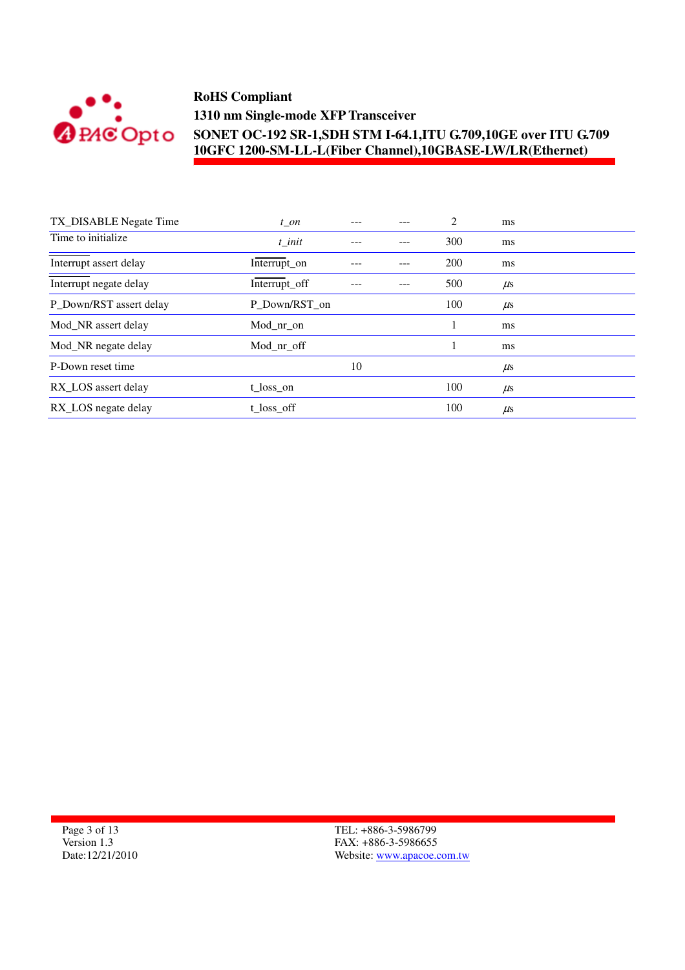

| TX_DISABLE Negate Time  | $t$ _on       |    | 2   | ms      |
|-------------------------|---------------|----|-----|---------|
| Time to initialize      | t init        |    | 300 | ms      |
| Interrupt assert delay  | Interrupt_on  |    | 200 | ms      |
| Interrupt negate delay  | Interrupt_off |    | 500 | $\mu$ s |
| P_Down/RST assert delay | P_Down/RST_on |    | 100 | $\mu$ s |
| Mod_NR assert delay     | Mod nr on     |    |     | ms      |
| Mod_NR negate delay     | Mod_nr_off    |    |     | ms      |
| P-Down reset time       |               | 10 |     | $\mu$ s |
| RX_LOS assert delay     | t loss on     |    | 100 | $\mu$ s |
| RX_LOS negate delay     | t_loss_off    |    | 100 | $\mu$ s |

Page 3 of 13 Version 1.3 Date:12/21/2010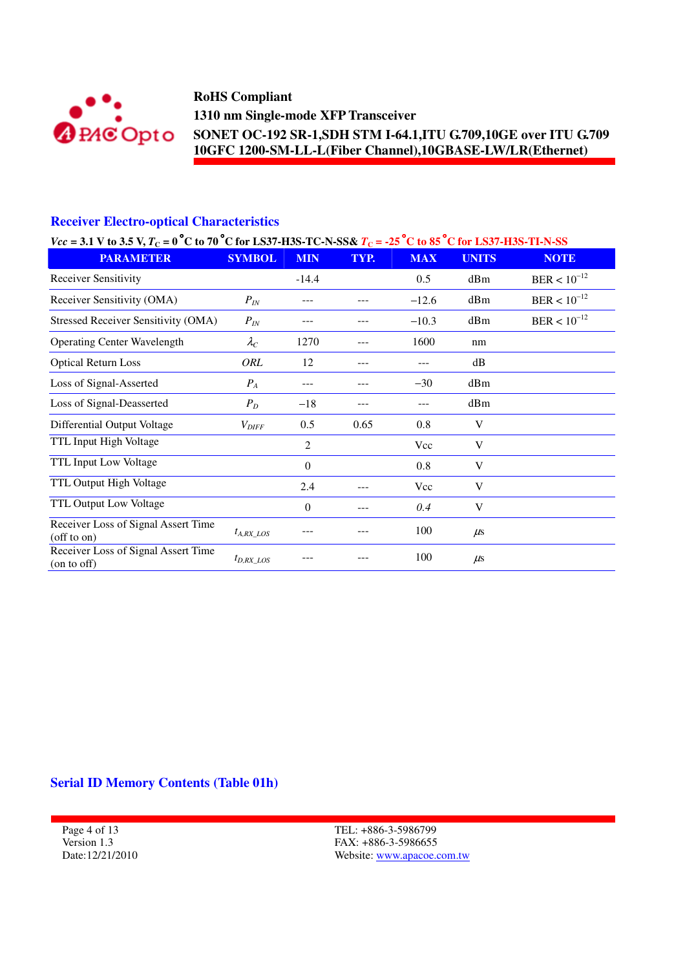

## **Receiver Electro-optical Characteristics**

| $Vec = 3.1$ V to 3.5 V, $T_C = 0$ °C to 70 °C for LS37-H3S-TC-N-SS& $T_C = -25$ °C to 85 °C for LS37-H3S-TI-N-SS |                   |                  |      |            |              |                  |  |  |
|------------------------------------------------------------------------------------------------------------------|-------------------|------------------|------|------------|--------------|------------------|--|--|
| <b>PARAMETER</b>                                                                                                 | <b>SYMBOL</b>     | <b>MIN</b>       | TYP. | <b>MAX</b> | <b>UNITS</b> | <b>NOTE</b>      |  |  |
| Receiver Sensitivity                                                                                             |                   | $-14.4$          |      | 0.5        | dBm          | $BER < 10^{-12}$ |  |  |
| Receiver Sensitivity (OMA)                                                                                       | $P_{IN}$          |                  |      | $-12.6$    | dBm          | $BER < 10^{-12}$ |  |  |
| <b>Stressed Receiver Sensitivity (OMA)</b>                                                                       | $P_{IN}$          |                  |      | $-10.3$    | dBm          | $BER < 10^{-12}$ |  |  |
| <b>Operating Center Wavelength</b>                                                                               | $\lambda_C$       | 1270             | ---  | 1600       | nm           |                  |  |  |
| <b>Optical Return Loss</b>                                                                                       | ORL               | 12               |      |            | dB           |                  |  |  |
| Loss of Signal-Asserted                                                                                          | $P_A$             | ---              |      | $-30$      | dBm          |                  |  |  |
| Loss of Signal-Deasserted                                                                                        | $P_D$             | $-18$            |      |            | dBm          |                  |  |  |
| Differential Output Voltage                                                                                      | $V_{\text{DIFF}}$ | 0.5              | 0.65 | 0.8        | V            |                  |  |  |
| TTL Input High Voltage                                                                                           |                   | 2                |      | Vcc        | V            |                  |  |  |
| TTL Input Low Voltage                                                                                            |                   | $\boldsymbol{0}$ |      | 0.8        | V            |                  |  |  |
| TTL Output High Voltage                                                                                          |                   | 2.4              | ---  | Vcc        | V            |                  |  |  |
| TTL Output Low Voltage                                                                                           |                   | 0                |      | 0.4        | V            |                  |  |  |
| Receiver Loss of Signal Assert Time<br>(off to on)                                                               | $t_{A, RX\_LOS}$  |                  |      | 100        | $\mu$ s      |                  |  |  |
| Receiver Loss of Signal Assert Time<br>(on to off)                                                               | $t_{D,RX\_LOS}$   |                  |      | 100        | $\mu$ s      |                  |  |  |

### **Serial ID Memory Contents (Table 01h)**

Page 4 of 13 Version 1.3 Date:12/21/2010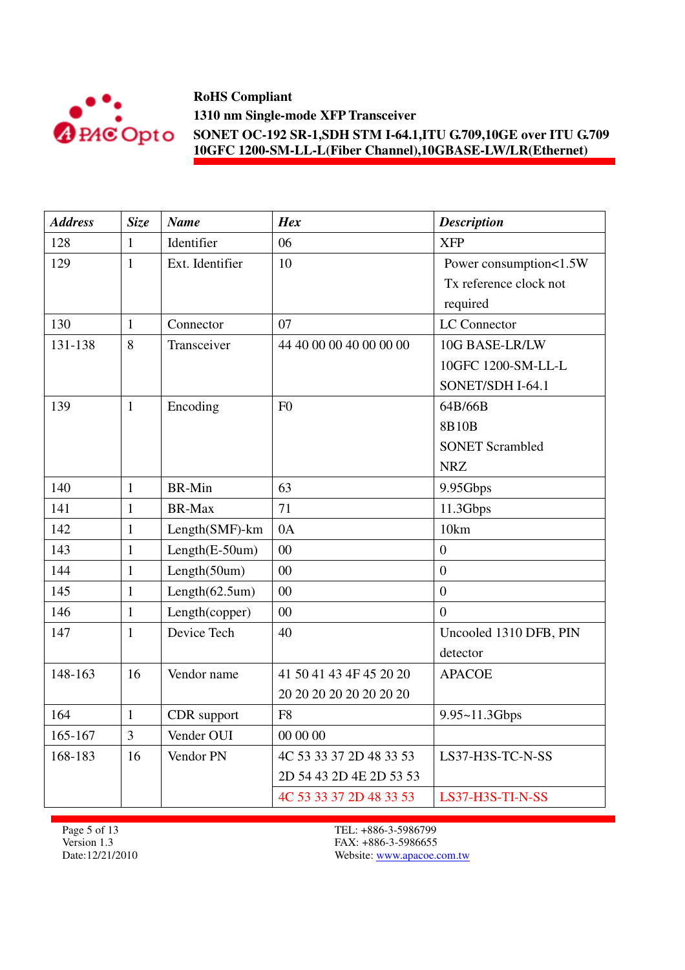

| <b>Address</b> | <b>Size</b>  | <b>Name</b>           | <b>Hex</b>              | <b>Description</b>     |
|----------------|--------------|-----------------------|-------------------------|------------------------|
| 128            | 1            | Identifier            | 06                      | <b>XFP</b>             |
| 129            | $\mathbf{1}$ | Ext. Identifier       | 10                      | Power consumption<1.5W |
|                |              |                       |                         | Tx reference clock not |
|                |              |                       |                         | required               |
| 130            | $\mathbf{1}$ | Connector             | 07                      | LC Connector           |
| 131-138        | 8            | Transceiver           | 44 40 00 00 40 00 00 00 | 10G BASE-LR/LW         |
|                |              |                       |                         | 10GFC 1200-SM-LL-L     |
|                |              |                       |                         | SONET/SDH I-64.1       |
| 139            | $\mathbf{1}$ | Encoding              | F <sub>0</sub>          | 64B/66B                |
|                |              |                       |                         | 8B10B                  |
|                |              |                       |                         | <b>SONET Scrambled</b> |
|                |              |                       |                         | <b>NRZ</b>             |
| 140            | $\mathbf{1}$ | <b>BR-Min</b>         | 63                      | 9.95Gbps               |
| 141            | 1            | <b>BR-Max</b>         | 71                      | 11.3Gbps               |
| 142            | $\mathbf{1}$ | Length(SMF)-km        | 0A                      | 10km                   |
| 143            | 1            | Length(E-50um)        | 00                      | $\overline{0}$         |
| 144            | $\mathbf{1}$ | Length(50um)          | 00                      | $\overline{0}$         |
| 145            | $\mathbf{1}$ | Length $(62.5$ um $)$ | 00                      | $\boldsymbol{0}$       |
| 146            | $\mathbf{1}$ | Length(copper)        | 00                      | $\overline{0}$         |
| 147            | $\mathbf{1}$ | Device Tech           | 40                      | Uncooled 1310 DFB, PIN |
|                |              |                       |                         | detector               |
| 148-163        | 16           | Vendor name           | 41 50 41 43 4F 45 20 20 | <b>APACOE</b>          |
|                |              |                       | 20 20 20 20 20 20 20 20 |                        |
| 164            | $\mathbf{1}$ | CDR support           | F <sub>8</sub>          | 9.95~11.3Gbps          |
| 165-167        | 3            | Vender OUI            | 00 00 00                |                        |
| 168-183        | 16           | Vendor PN             | 4C 53 33 37 2D 48 33 53 | LS37-H3S-TC-N-SS       |
|                |              |                       | 2D 54 43 2D 4E 2D 53 53 |                        |
|                |              |                       | 4C 53 33 37 2D 48 33 53 | LS37-H3S-TI-N-SS       |

Page 5 of 13 Version 1.3 Date:12/21/2010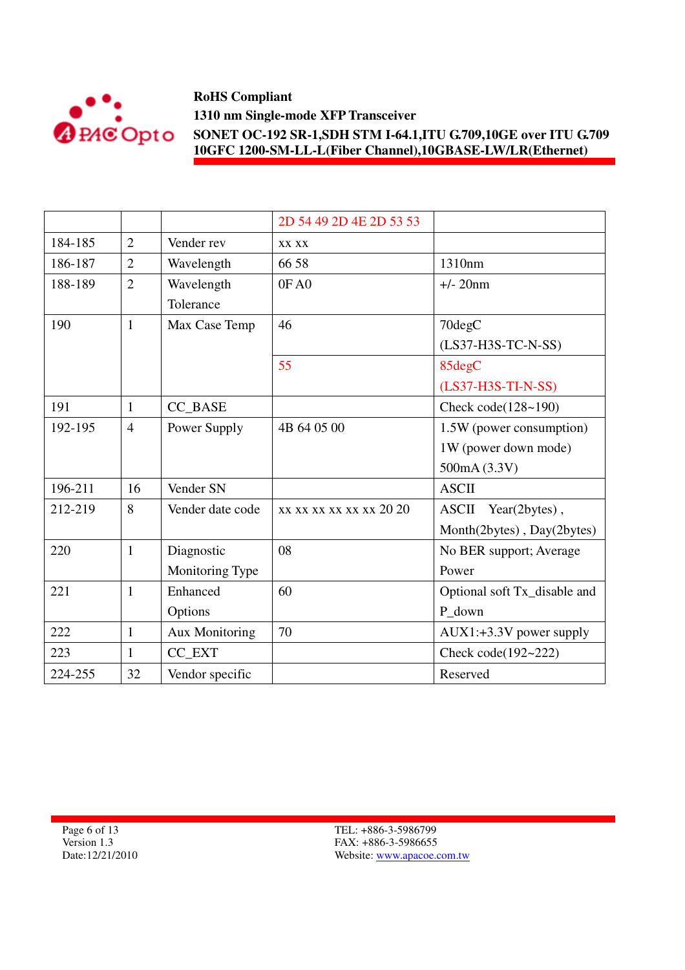

|         |                |                       | 2D 54 49 2D 4E 2D 53 53 |                               |
|---------|----------------|-----------------------|-------------------------|-------------------------------|
| 184-185 | $\overline{2}$ | Vender rev            | XX XX                   |                               |
| 186-187 | $\overline{2}$ | Wavelength            | 66 58                   | 1310nm                        |
| 188-189 | $\overline{2}$ | Wavelength            | 0FA0                    | $+/- 20$ nm                   |
|         |                | Tolerance             |                         |                               |
| 190     | $\mathbf{1}$   | Max Case Temp         | 46                      | 70degC                        |
|         |                |                       |                         | (LS37-H3S-TC-N-SS)            |
|         |                |                       | 55                      | 85degC                        |
|         |                |                       |                         | (LS37-H3S-TI-N-SS)            |
| 191     | $\mathbf{1}$   | CC_BASE               |                         | Check code $(128-190)$        |
| 192-195 | $\overline{4}$ | Power Supply          | 4B 64 05 00             | 1.5W (power consumption)      |
|         |                |                       |                         | 1W (power down mode)          |
|         |                |                       |                         | 500mA (3.3V)                  |
| 196-211 | 16             | Vender SN             |                         | <b>ASCII</b>                  |
| 212-219 | 8              | Vender date code      | xx xx xx xx xx xx 20 20 | <b>ASCII</b><br>Year(2bytes), |
|         |                |                       |                         | Month(2bytes), Day(2bytes)    |
| 220     | $\mathbf{1}$   | Diagnostic            | 08                      | No BER support; Average       |
|         |                | Monitoring Type       |                         | Power                         |
| 221     | $\mathbf{1}$   | Enhanced              | 60                      | Optional soft Tx_disable and  |
|         |                | Options               |                         | P_down                        |
| 222     | $\mathbf{1}$   | <b>Aux Monitoring</b> | 70                      | $AUX1: +3.3V$ power supply    |
| 223     | $\mathbf{1}$   | CC_EXT                |                         | Check code(192~222)           |
| 224-255 | 32             | Vendor specific       |                         | Reserved                      |

Page 6 of 13 Version 1.3 Date:12/21/2010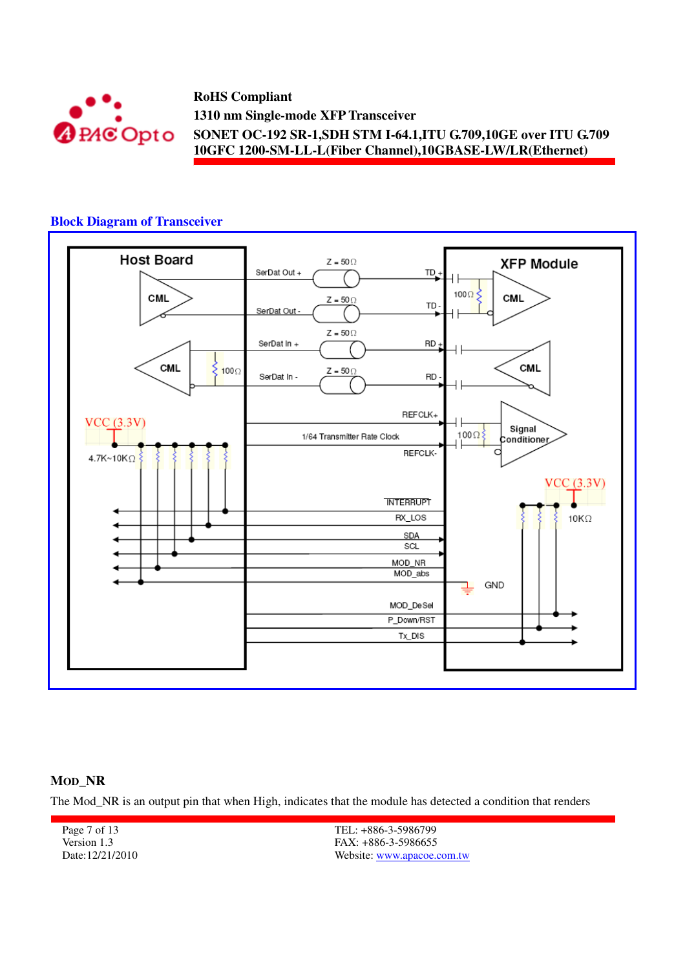

# **Block Diagram of Transceiver**



#### **MOD\_NR**

The Mod\_NR is an output pin that when High, indicates that the module has detected a condition that renders

Page 7 of 13 Version 1.3 Date:12/21/2010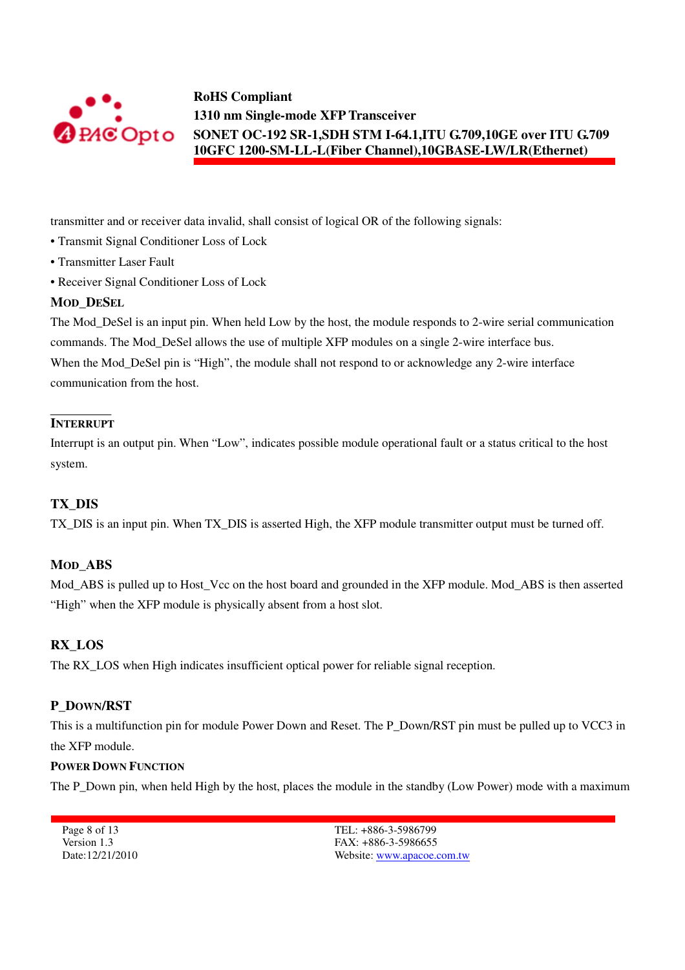

transmitter and or receiver data invalid, shall consist of logical OR of the following signals:

- Transmit Signal Conditioner Loss of Lock
- Transmitter Laser Fault
- Receiver Signal Conditioner Loss of Lock

#### **MOD\_DESEL**

The Mod DeSel is an input pin. When held Low by the host, the module responds to 2-wire serial communication commands. The Mod\_DeSel allows the use of multiple XFP modules on a single 2-wire interface bus. When the Mod\_DeSel pin is "High", the module shall not respond to or acknowledge any 2-wire interface communication from the host.

## **INTERRUPT**

Interrupt is an output pin. When "Low", indicates possible module operational fault or a status critical to the host system.

### **TX\_DIS**

TX\_DIS is an input pin. When TX\_DIS is asserted High, the XFP module transmitter output must be turned off.

### **MOD\_ABS**

Mod\_ABS is pulled up to Host\_Vcc on the host board and grounded in the XFP module. Mod\_ABS is then asserted "High" when the XFP module is physically absent from a host slot.

### **RX\_LOS**

The RX LOS when High indicates insufficient optical power for reliable signal reception.

### **P\_DOWN/RST**

This is a multifunction pin for module Power Down and Reset. The P\_Down/RST pin must be pulled up to VCC3 in the XFP module.

#### **POWER DOWN FUNCTION**

The P\_Down pin, when held High by the host, places the module in the standby (Low Power) mode with a maximum

Page 8 of 13 Version 1.3 Date:12/21/2010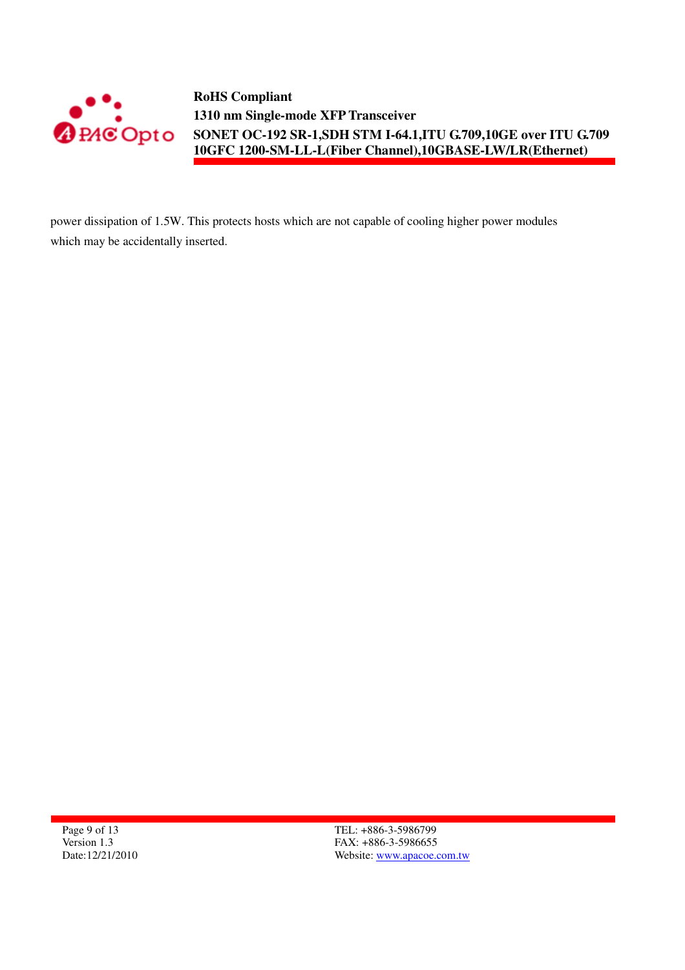

power dissipation of 1.5W. This protects hosts which are not capable of cooling higher power modules which may be accidentally inserted.

Page 9 of 13 Version 1.3 Date:12/21/2010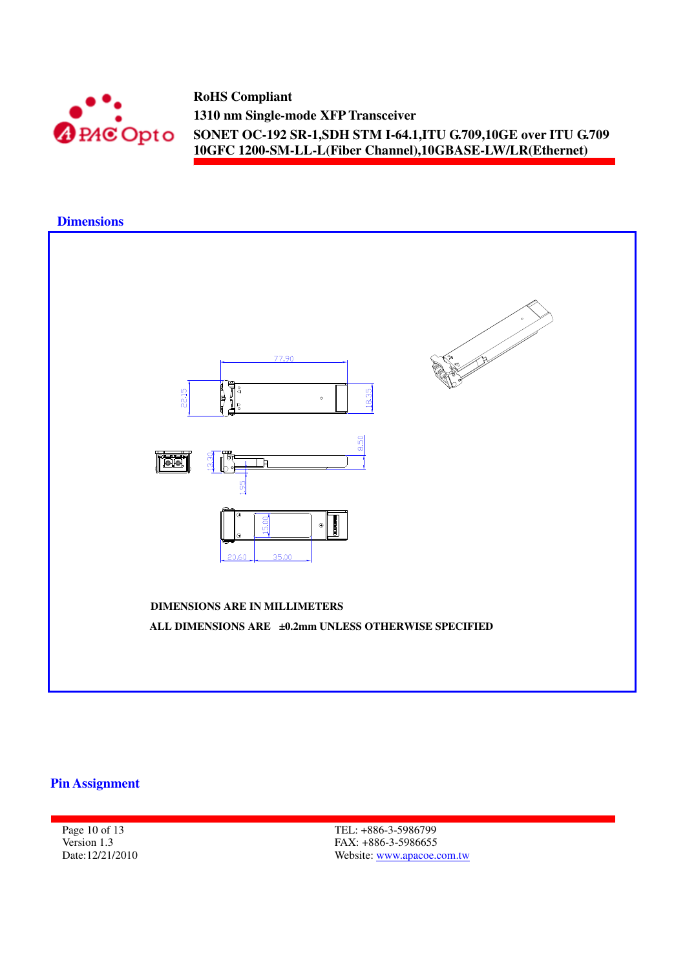



## **Pin Assignment**

Page 10 of 13 Version 1.3 Date:12/21/2010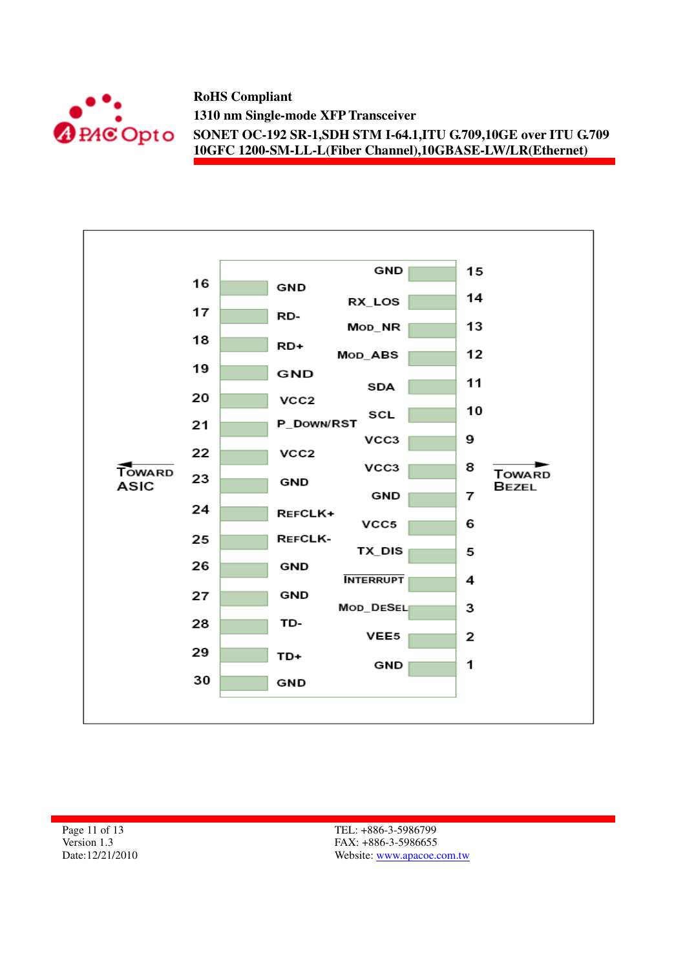



Page 11 of 13 Version 1.3 Date:12/21/2010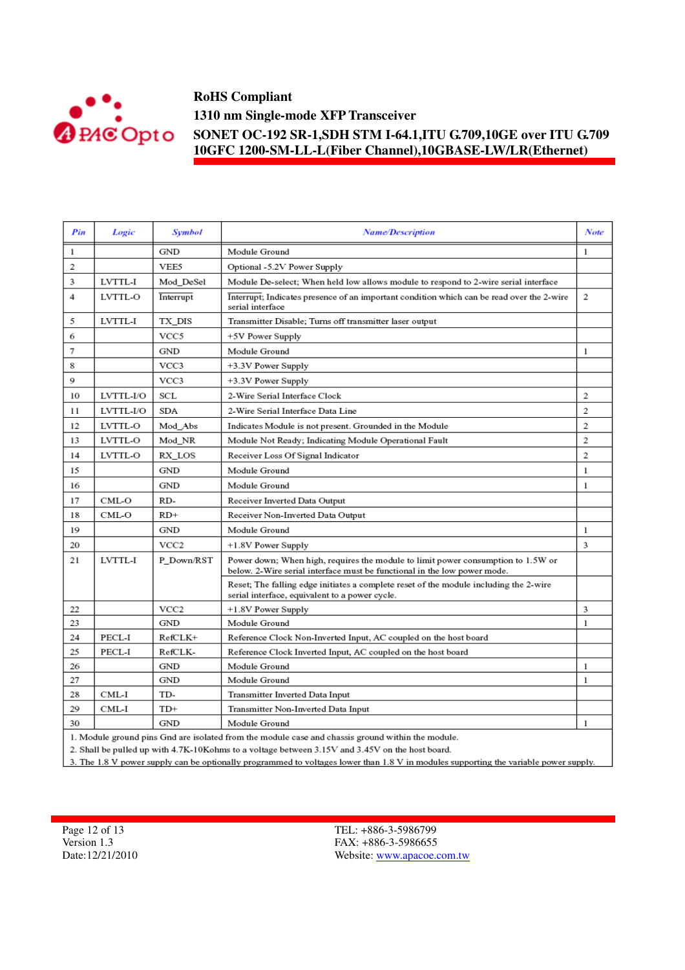

| Pin | Logic     | <b>Symbol</b>    | <b>Name/Description</b>                                                                                                                                      | Note           |
|-----|-----------|------------------|--------------------------------------------------------------------------------------------------------------------------------------------------------------|----------------|
| 1   |           | <b>GND</b>       | Module Ground                                                                                                                                                | $\mathbf{1}$   |
| 2   |           | VEE5             | Optional -5.2V Power Supply                                                                                                                                  |                |
| 3   | LVTTL-I   | Mod DeSel        | Module De-select; When held low allows module to respond to 2-wire serial interface                                                                          |                |
| 4   | LVTTL-O   | Interrupt        | Interrupt; Indicates presence of an important condition which can be read over the 2-wire<br>serial interface                                                | 2              |
| 5   | LVTTL-I   | TX_DIS           | Transmitter Disable; Turns off transmitter laser output                                                                                                      |                |
| 6   |           | VCC5             | +5V Power Supply                                                                                                                                             |                |
| 7   |           | <b>GND</b>       | Module Ground                                                                                                                                                | 1              |
| 8   |           | VCC3             | +3.3V Power Supply                                                                                                                                           |                |
| 9   |           | VCC3             | +3.3V Power Supply                                                                                                                                           |                |
| 10  | LVTTL-I/O | SCL              | 2-Wire Serial Interface Clock                                                                                                                                | 2              |
| 11  | LVTTL-I/O | <b>SDA</b>       | 2-Wire Serial Interface Data Line                                                                                                                            | 2              |
| 12  | LVTTL-O   | Mod_Abs          | Indicates Module is not present. Grounded in the Module                                                                                                      | $\overline{2}$ |
| 13  | LVTTL-O   | Mod NR           | Module Not Ready; Indicating Module Operational Fault                                                                                                        | $\overline{2}$ |
| 14  | LVTTL-O   | RX_LOS           | Receiver Loss Of Signal Indicator                                                                                                                            | $\mathbf{2}$   |
| 15  |           | GND              | Module Ground                                                                                                                                                | 1              |
| 16  |           | GND              | Module Ground                                                                                                                                                | 1              |
| 17  | CML-O     | RD-              | Receiver Inverted Data Output                                                                                                                                |                |
| 18  | CML-O     | $RD+$            | Receiver Non-Inverted Data Output                                                                                                                            |                |
| 19  |           | GND              | Module Ground                                                                                                                                                | 1              |
| 20  |           | VCC <sub>2</sub> | +1.8V Power Supply                                                                                                                                           | 3              |
| 21  | LVTTL-I   | P Down/RST       | Power down; When high, requires the module to limit power consumption to 1.5W or<br>below. 2-Wire serial interface must be functional in the low power mode. |                |
|     |           |                  | Reset; The falling edge initiates a complete reset of the module including the 2-wire<br>serial interface, equivalent to a power cycle.                      |                |
| 22  |           | VCC <sub>2</sub> | +1.8V Power Supply                                                                                                                                           | 3              |
| 23  |           | GND              | Module Ground                                                                                                                                                | 1              |
| 24  | PECL-I    | RefCLK+          | Reference Clock Non-Inverted Input, AC coupled on the host board                                                                                             |                |
| 25  | PECL-I    | RefCLK-          | Reference Clock Inverted Input, AC coupled on the host board                                                                                                 |                |
| 26  |           | GND              | Module Ground                                                                                                                                                | 1              |
| 27  |           | GND              | Module Ground                                                                                                                                                | 1              |
| 28  | CML-I     | TD-              | Transmitter Inverted Data Input                                                                                                                              |                |
| 29  | CML-I     | $TD+$            | Transmitter Non-Inverted Data Input                                                                                                                          |                |
| 30  |           | GND              | Module Ground                                                                                                                                                | 1              |
|     |           |                  | 1. Module ground pins Gnd are isolated from the module case and chassis ground within the module.                                                            |                |

2. Shall be pulled up with 4.7K-10Kohms to a voltage between 3.15V and 3.45V on the host board.

3. The 1.8 V power supply can be optionally programmed to voltages lower than 1.8 V in modules supporting the variable power supply.

Page 12 of 13 Version 1.3 Date:12/21/2010